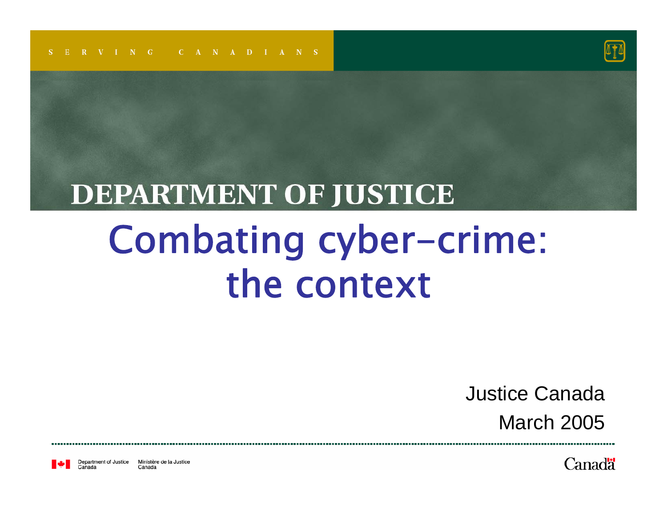

#### **DEPARTMENT OF JUSTICE** Combating cyber-crime: the context

Justice CanadaMarch 2005

Department of Justice Ministère de la Justice Canada

Canadä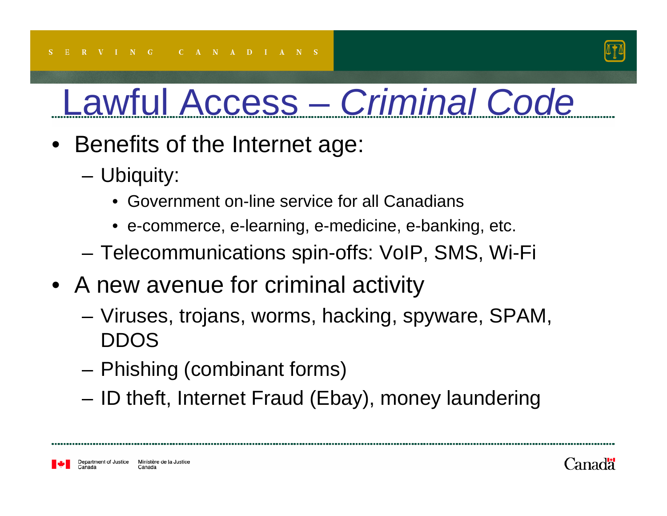

- Benefits of the Internet age:
	- – Ubiquity:
		- Government on-line service for all Canadians
		- e-commerce, e-learning, e-medicine, e-banking, etc.
	- Telecommunications spin-offs: VoIP, SMS, Wi-Fi
- A new avenue for criminal activity
	- Viruses, trojans, worms, hacking, spyware, SPAM, DDOS
	- Phishing (combinant forms)
	- ID theft, Internet Fraud (Ebay), money laundering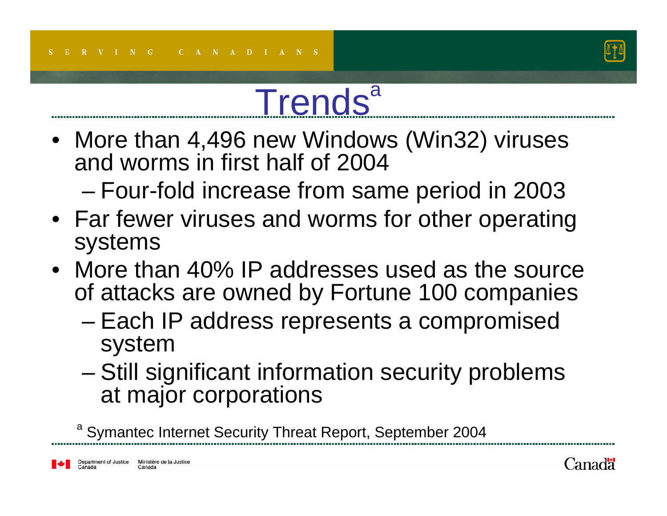

# **Trends**<sup>a</sup>

- More than 4,496 new Windows (Win32) viruses and worms in first half of 2004
	- –Four-fold increase from same period in 2003
- Far fewer viruses and worms for other operating systems
- More than 40% IP addresses used as the source of attacks are owned by Fortune 100 companies
	- – Each IP address represents a compromised system
	- Still significant information security problems at major corporations

aSymantec Internet Security Threat Report, September 2004

Department of Justice Ministère de la Justice Canada

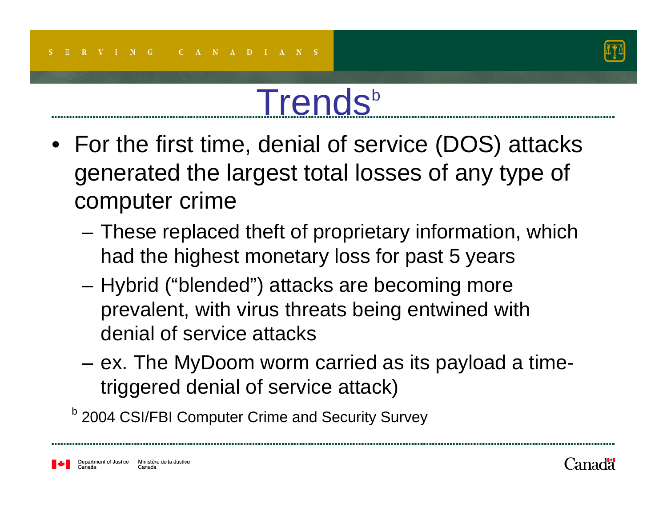

#### Trends<sup>b</sup>

- For the first time, denial of service (DOS) attacks generated the largest total losses of any type of computer crime
	- These replaced theft of proprietary information, which had the highest monetary loss for past 5 years
	- – Hybrid ("blended") attacks are becoming more prevalent, with virus threats being entwined with denial of service attacks
	- ex. The MyDoom worm carried as its payload a timetriggered denial of service attack)

<sup>b</sup> 2004 CSI/FBI Computer Crime and Security Survey

Department of Justice Ministère de la Justice Canada

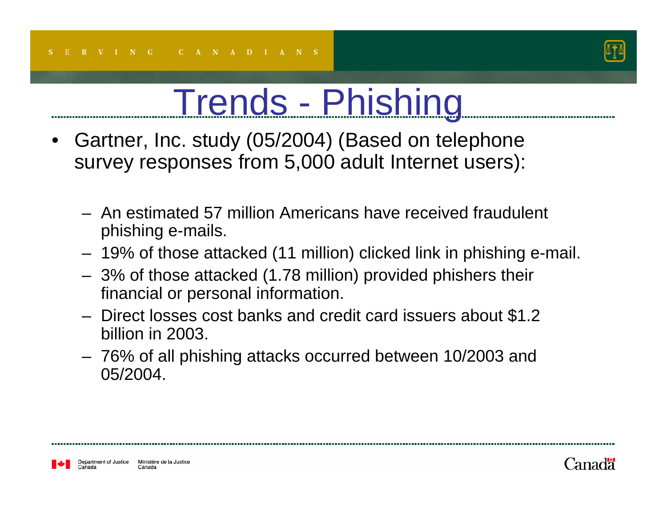

#### Trends - Phishing

- • Gartner, Inc. study (05/2004) (Based on telephone survey responses from 5,000 adult Internet users):
	- An estimated 57 million Americans have received fraudulent phishing e-mails.
	- 19% of those attacked (11 million) clicked link in phishing e-mail.
	- 3% of those attacked (1.78 million) provided phishers their financial or personal information.
	- Direct losses cost banks and credit card issuers about \$1.2 billion in 2003.
	- 76% of all phishing attacks occurred between 10/2003 and 05/2004.

Ministère de la Justice Department of Justice Canada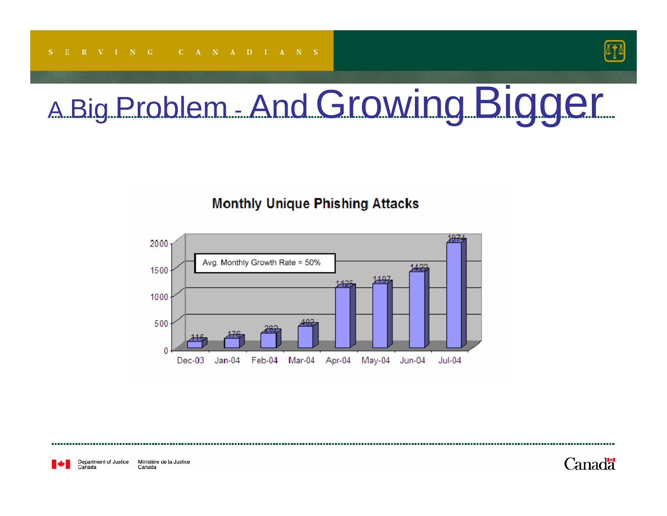

#### A Big Problem - And Growing Bigger

#### **Monthly Unique Phishing Attacks**



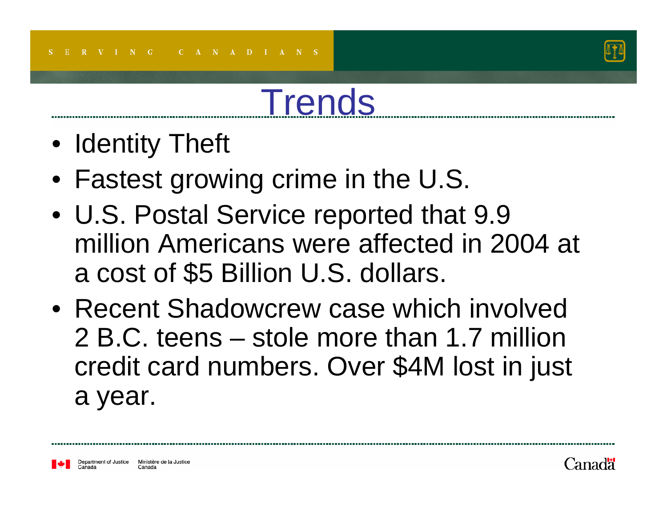

#### **Trends**

- Identity Theft
- Fastest growing crime in the U.S.
- U.S. Postal Service reported that 9.9 million Americans were affected in 2004 at a cost of \$5 Billion U.S. dollars.
- Recent Shadowcrew case which involved 2 B.C. teens – stole more than 1.7 million credit card numbers. Over \$4M lost in just a year.



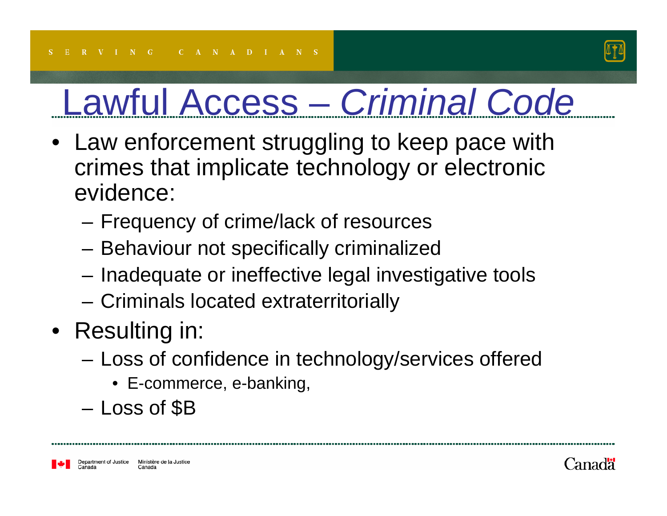

- Law enforcement struggling to keep pace with crimes that implicate technology or electronic evidence:
	- –Frequency of crime/lack of resources
	- Behaviour not specifically criminalized
	- Inadequate or ineffective legal investigative tools
	- Criminals located extraterritorially
- Resulting in:
	- – Loss of confidence in technology/services offered
		- E-commerce, e-banking,
	- Loss of \$B

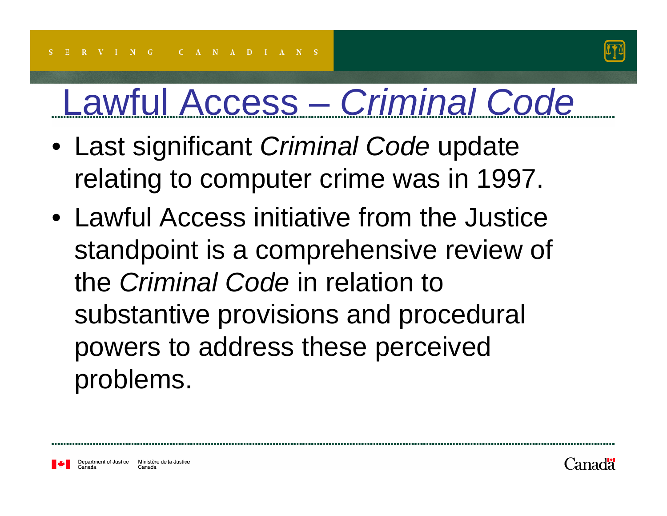

- Last significant *Criminal Code* update relating to computer crime was in 1997.
- Lawful Access initiative from the Justice standpoint is a comprehensive review of the *Criminal Code* in relation to substantive provisions and procedural powers to address these perceived problems.



Canada

Department of Justice

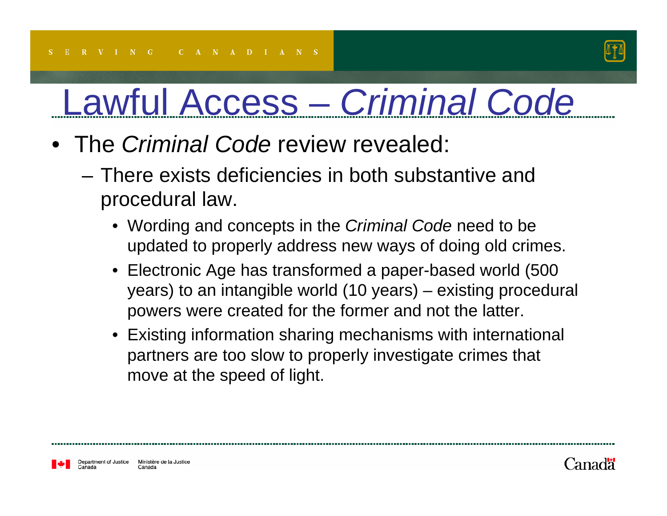

- The *Criminal Code* review revealed:
	- There exists deficiencies in both substantive and procedural law.
		- Wording and concepts in the *Criminal Code* need to be updated to properly address new ways of doing old crimes.
		- $\bullet$  Electronic Age has transformed a paper-based world (500 years) to an intangible world (10 years) – existing procedural powers were created for the former and not the latter.
		- Existing information sharing mechanisms with international partners are too slow to properly investigate crimes that move at the speed of light.

Department of Justice Ministère de la Justice Canada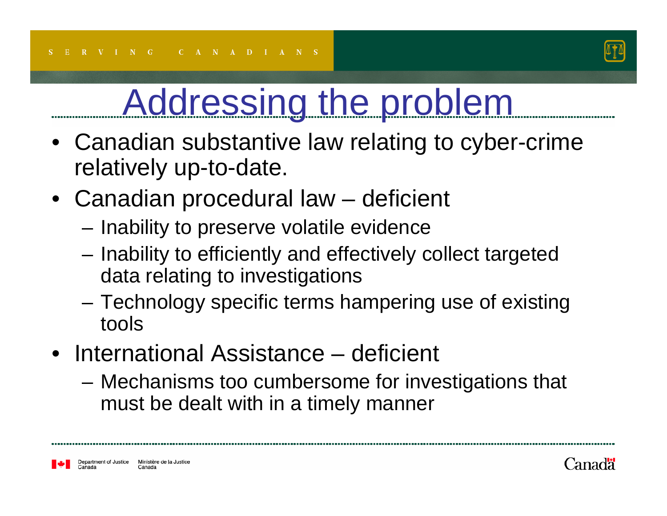

- $\bullet$  Canadian substantive law relating to cyber-crime relatively up-to-date.
- Canadian procedural law deficient
	- –Inability to preserve volatile evidence
	- Inability to efficiently and effectively collect targeted data relating to investigations
	- – Technology specific terms hampering use of existing tools
- International Assistance deficient
	- – Mechanisms too cumbersome for investigations that must be dealt with in a timely manner

Ministère de la Justice Department of Justice Canada

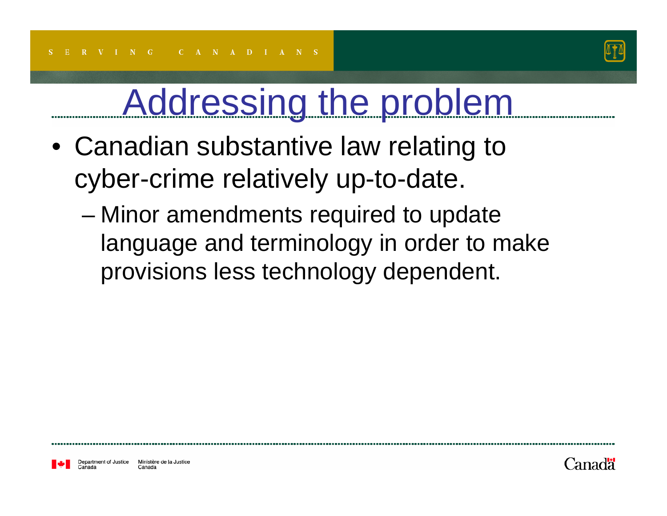

- Canadian substantive law relating to cyber-crime relatively up-to-date.
	- – Minor amendments required to update language and terminology in order to make provisions less technology dependent.

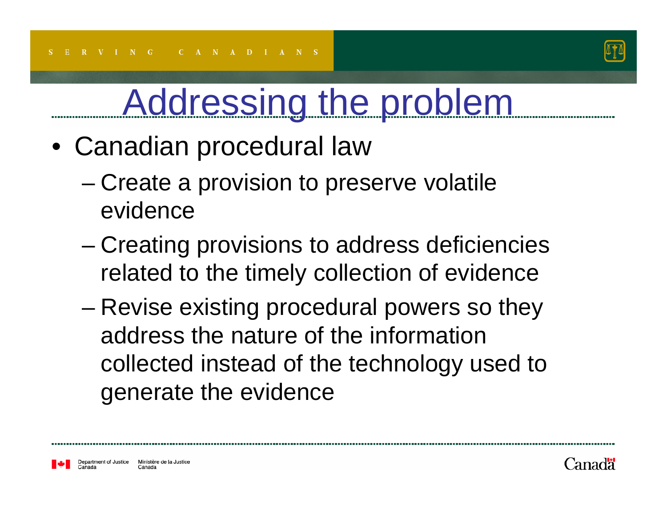

- Canadian procedural law
	- Create a provision to preserve volatile evidence
	- – Creating provisions to address deficiencies related to the timely collection of evidence
	- – Revise existing procedural powers so they address the nature of the information collected instead of the technology used to generate the evidence



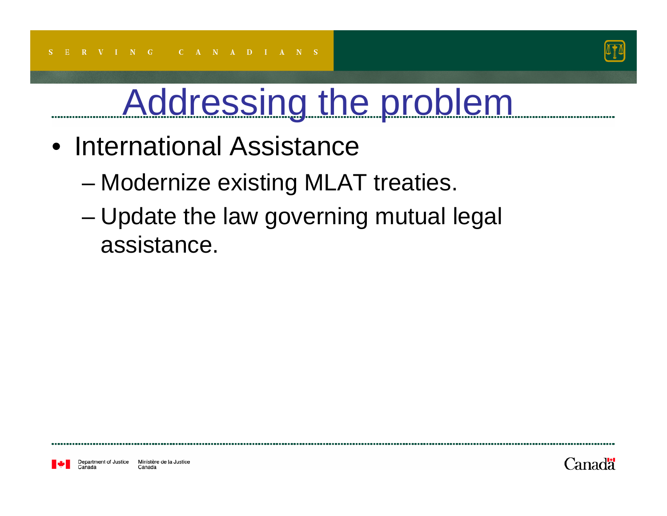

- International Assistance
	- Modernize existing MLAT treaties.
	- Update the law governing mutual legal assistance.

Department of Justice